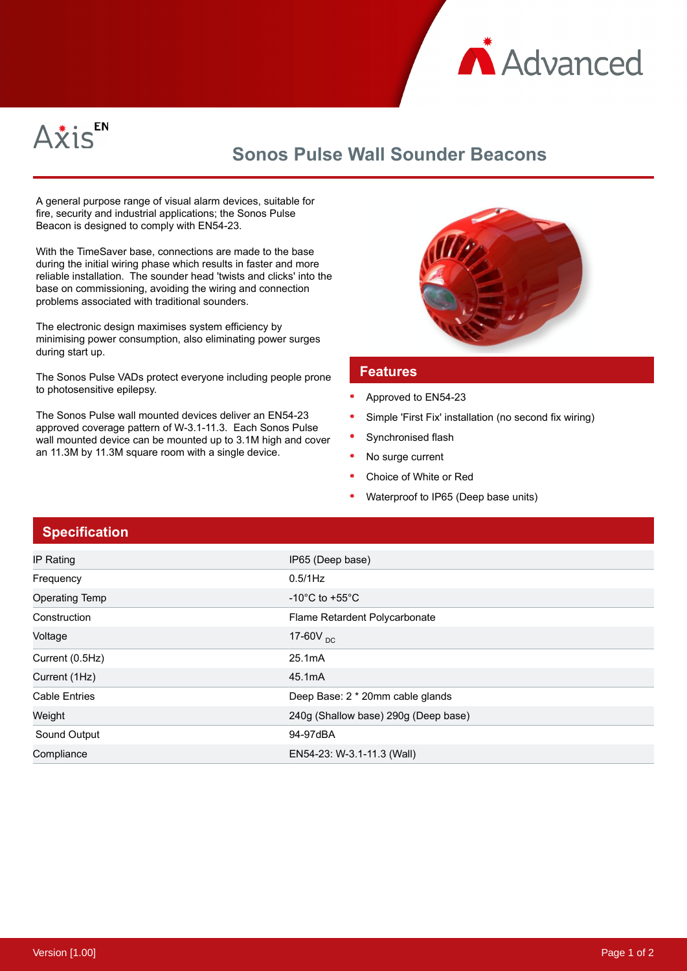



## **Sonos Pulse Wall Sounder Beacons**

A general purpose range of visual alarm devices, suitable for fire, security and industrial applications; the Sonos Pulse Beacon is designed to comply with EN54-23.

With the TimeSaver base, connections are made to the base during the initial wiring phase which results in faster and more reliable installation. The sounder head 'twists and clicks' into the base on commissioning, avoiding the wiring and connection problems associated with traditional sounders.

The electronic design maximises system efficiency by minimising power consumption, also eliminating power surges during start up.

The Sonos Pulse VADs protect everyone including people prone to photosensitive epilepsy.

The Sonos Pulse wall mounted devices deliver an EN54-23 approved coverage pattern of W-3.1-11.3. Each Sonos Pulse wall mounted device can be mounted up to 3.1M high and cover an 11.3M by 11.3M square room with a single device.



## **Features**

- Approved to EN54-23
- Simple 'First Fix' installation (no second fix wiring)
- Synchronised flash
- No surge current
- Choice of White or Red
- Waterproof to IP65 (Deep base units)

## **Specification**

| IP Rating             | IP65 (Deep base)                     |
|-----------------------|--------------------------------------|
| Frequency             | 0.5/1Hz                              |
| <b>Operating Temp</b> | -10 $^{\circ}$ C to +55 $^{\circ}$ C |
| Construction          | Flame Retardent Polycarbonate        |
| Voltage               | 17-60 $V_{DC}$                       |
| Current (0.5Hz)       | 25.1mA                               |
| Current (1Hz)         | 45.1mA                               |
| <b>Cable Entries</b>  | Deep Base: 2 * 20mm cable glands     |
| Weight                | 240g (Shallow base) 290g (Deep base) |
| Sound Output          | 94-97dBA                             |
| Compliance            | EN54-23: W-3.1-11.3 (Wall)           |